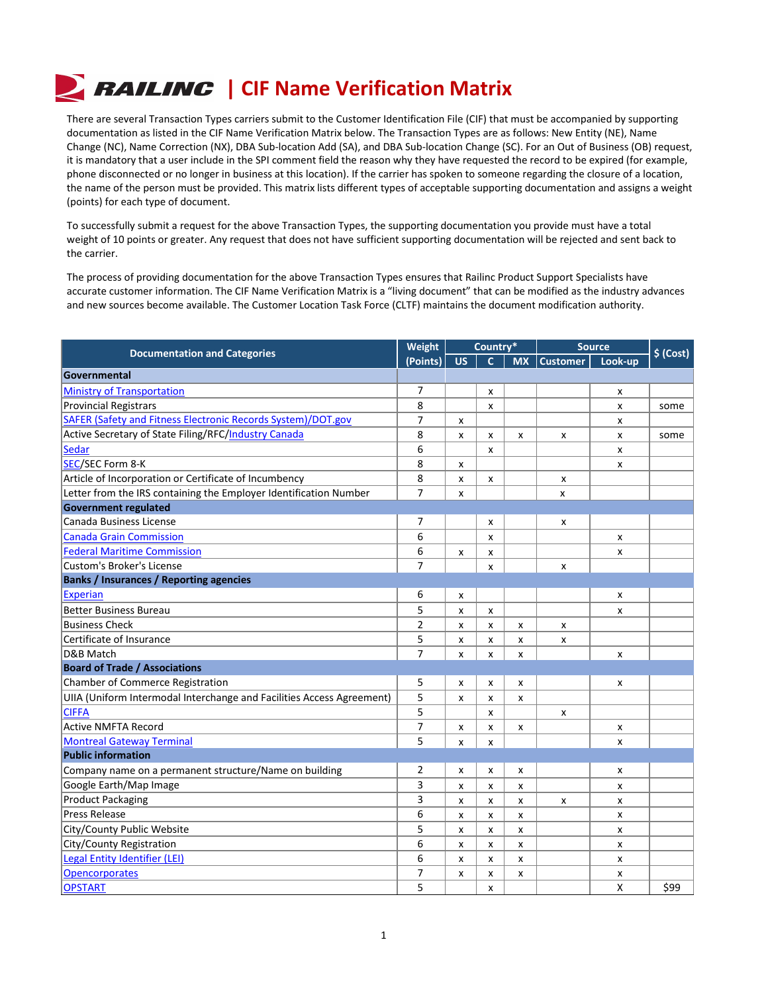## **| RAILING | CIF Name Verification Matrix**

There are several Transaction Types carriers submit to the Customer Identification File (CIF) that must be accompanied by supporting documentation as listed in the CIF Name Verification Matrix below. The Transaction Types are as follows: New Entity (NE), Name Change (NC), Name Correction (NX), DBA Sub-location Add (SA), and DBA Sub-location Change (SC). For an Out of Business (OB) request, it is mandatory that a user include in the SPI comment field the reason why they have requested the record to be expired (for example, phone disconnected or no longer in business at this location). If the carrier has spoken to someone regarding the closure of a location, the name of the person must be provided. This matrix lists different types of acceptable supporting documentation and assigns a weight (points) for each type of document.

To successfully submit a request for the above Transaction Types, the supporting documentation you provide must have a total weight of 10 points or greater. Any request that does not have sufficient supporting documentation will be rejected and sent back to the carrier.

The process of providing documentation for the above Transaction Types ensures that Railinc Product Support Specialists have accurate customer information. The CIF Name Verification Matrix is a "living document" that can be modified as the industry advances and new sources become available. The Customer Location Task Force (CLTF) maintains the document modification authority.

| <b>Documentation and Categories</b>                                   | <b>Weight</b>  | Country*                  |                    | <b>Source</b>             |                 | $$$ (Cost)                |      |
|-----------------------------------------------------------------------|----------------|---------------------------|--------------------|---------------------------|-----------------|---------------------------|------|
|                                                                       | (Points)       | <b>US</b>                 | $\mathbf{C}$       | <b>MX</b>                 | <b>Customer</b> | Look-up                   |      |
| Governmental                                                          |                |                           |                    |                           |                 |                           |      |
| <b>Ministry of Transportation</b>                                     | 7              |                           | x                  |                           |                 | X                         |      |
| <b>Provincial Registrars</b>                                          | 8              |                           | x                  |                           |                 | x                         | some |
| <b>SAFER (Safety and Fitness Electronic Records System)/DOT.gov</b>   | 7              | X                         |                    |                           |                 | X                         |      |
| Active Secretary of State Filing/RFC/Industry Canada                  | 8              | X                         | X                  | X                         | x               | x                         | some |
| <b>Sedar</b>                                                          | 6              |                           | x                  |                           |                 | x                         |      |
| SEC/SEC Form 8-K                                                      | 8              | X                         |                    |                           |                 | X                         |      |
| Article of Incorporation or Certificate of Incumbency                 | 8              | X                         | X                  |                           | x               |                           |      |
| Letter from the IRS containing the Employer Identification Number     | $\overline{7}$ | X                         |                    |                           | X               |                           |      |
| <b>Government regulated</b>                                           |                |                           |                    |                           |                 |                           |      |
| Canada Business License                                               | 7              |                           | X                  |                           | x               |                           |      |
| <b>Canada Grain Commission</b>                                        | 6              |                           | X                  |                           |                 | X                         |      |
| <b>Federal Maritime Commission</b>                                    | 6              | X                         | X                  |                           |                 | x                         |      |
| <b>Custom's Broker's License</b>                                      | 7              |                           | х                  |                           | x               |                           |      |
| <b>Banks / Insurances / Reporting agencies</b>                        |                |                           |                    |                           |                 |                           |      |
| Experian                                                              | 6              | X                         |                    |                           |                 | x                         |      |
| <b>Better Business Bureau</b>                                         | 5              | X                         | X                  |                           |                 | x                         |      |
| <b>Business Check</b>                                                 | $\overline{2}$ | X                         | X                  | X                         | x               |                           |      |
| Certificate of Insurance                                              | 5              | X                         | X                  | X                         | x               |                           |      |
| D&B Match                                                             | 7              | X                         | X                  | X                         |                 | X                         |      |
| <b>Board of Trade / Associations</b>                                  |                |                           |                    |                           |                 |                           |      |
| <b>Chamber of Commerce Registration</b>                               | 5              | X                         | X                  | X                         |                 | x                         |      |
| UIIA (Uniform Intermodal Interchange and Facilities Access Agreement) | 5              | X                         | X                  | $\boldsymbol{\mathsf{x}}$ |                 |                           |      |
| <b>CIFFA</b>                                                          | 5              |                           | X                  |                           | x               |                           |      |
| <b>Active NMFTA Record</b>                                            | 7              | X                         | x                  | X                         |                 | x                         |      |
| <b>Montreal Gateway Terminal</b>                                      | 5              | X                         | X                  |                           |                 | X                         |      |
| <b>Public information</b>                                             |                |                           |                    |                           |                 |                           |      |
| Company name on a permanent structure/Name on building                | 2              | X                         | X                  | X                         |                 | x                         |      |
| Google Earth/Map Image                                                | 3              | X                         | X                  | x                         |                 | X                         |      |
| <b>Product Packaging</b>                                              | 3              | X                         | X                  | x                         | x               | x                         |      |
| <b>Press Release</b>                                                  | 6              | $\boldsymbol{\mathsf{x}}$ | X                  | $\mathsf{x}$              |                 | $\mathsf{x}$              |      |
| City/County Public Website                                            | 5              | $\boldsymbol{\mathsf{x}}$ | $\mathsf{x}$       | $\pmb{\mathsf{X}}$        |                 | $\boldsymbol{\mathsf{x}}$ |      |
| City/County Registration                                              | 6              | X                         | X                  | X                         |                 | $\boldsymbol{\mathsf{x}}$ |      |
| <b>Legal Entity Identifier (LEI)</b>                                  | 6              | $\boldsymbol{\mathsf{x}}$ | $\mathsf{x}$       | $\boldsymbol{\mathsf{x}}$ |                 | $\pmb{\mathsf{X}}$        |      |
| <b>Opencorporates</b>                                                 | 7              | $\mathsf{x}$              | $\pmb{\mathsf{X}}$ | $\pmb{\mathsf{X}}$        |                 | $\pmb{\mathsf{X}}$        |      |
| <b>OPSTART</b>                                                        | 5              |                           | x                  |                           |                 | X                         | \$99 |